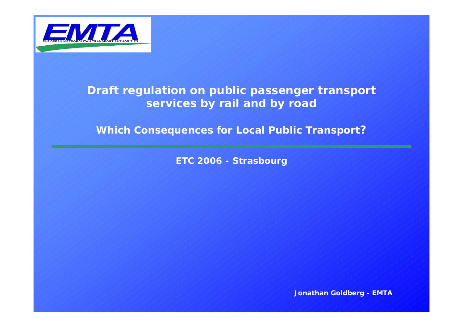

# **Draft regulation on public passenger transport services by rail and by road**

*Which Consequences for Local Public Transport?*

*ETC 2006 - Strasbourg*

*Jonathan Goldberg - EMTA*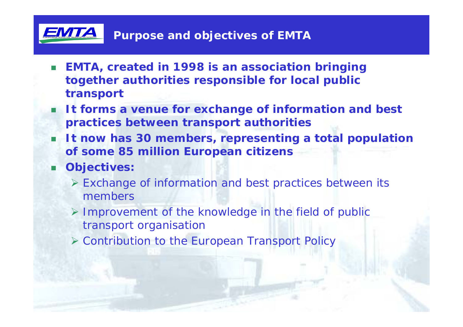

- $\Box$  **EMTA, created in 1998 is an association bringing together authorities responsible for local public transport**
- **It forms a venue for exchange of information and best practices between transport authorities**
- **It now has 30 members, representing a total population of some 85 million European citizens**
- . **Objectives:**
	- ¾ Exchange of information and best practices between its members
	- ¾ Improvement of the knowledge in the field of public transport organisation
	- ¾ Contribution to the European Transport Policy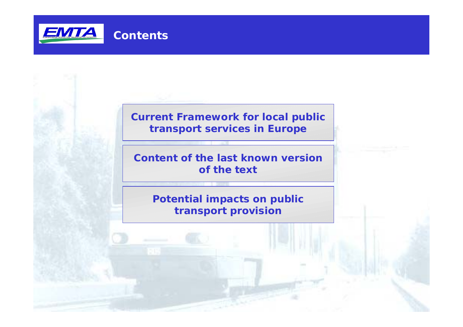

### **Current Framework for local public transport services in Europe**

**Content of the last known version of the text**

**Potential impacts on public transport provision**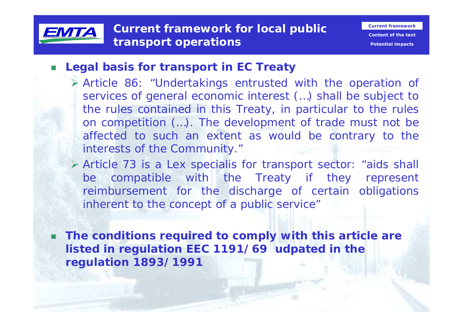

#### $\Box$ **Legal basis for transport in EC Treaty**

- ¾ Article 86: "Undertakings entrusted with the operation of services of general economic interest (…) shall be subject to the rules contained in this Treaty, in particular to the rules on competition (…). The development of trade must not be affected to such an extent as would be contrary to the interests of the Community."
- ¾ Article 73 is a Lex specialis for transport sector: "aids shall be compatible with the Treaty if they represent reimbursement for the discharge of certain obligations inherent to the concept of a public service"

 **The conditions required to comply with this article are listed in regulation EEC 1191/69 udpated in the regulation 1893/1991**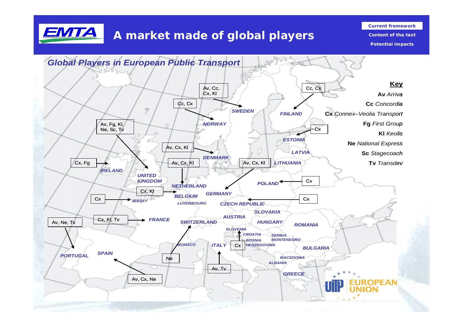

# **A market made of global players**

**Current framework**

**Content of the textPotential impacts**

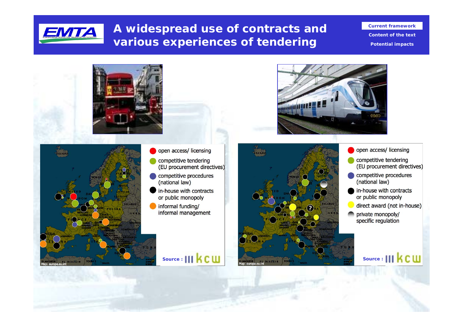

# **A widespread use of contracts and various experiences of tendering**

**Current framework**

**Content of the textPotential impacts**





- open access/ licensing
- competitive tendering (EU procurement directives)
- competitive procedures (national law)
- in-house with contracts or public monopoly
	- informal funding/ informal management

**Source :** | | |  $\mathbf{k}$  **C W** 







specific regulation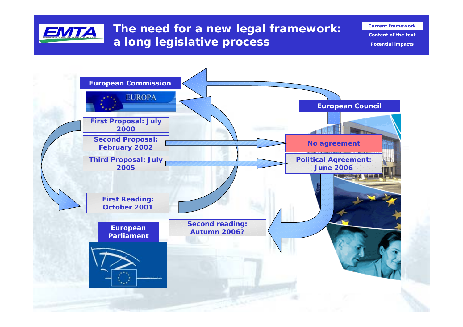

**The need for a new legal framework: a long legislative process**

**Content of the textPotential impacts**

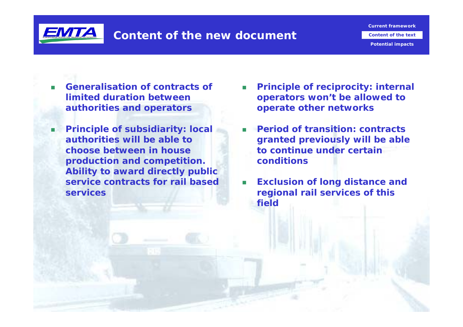

**Content of the text**

**Potential impacts**

- **Generalisation of contracts of limited duration betweenauthorities and operators**
- ۰ **Principle of subsidiarity: local authorities will be able tochoose between in houseproduction and competition. Ability to award directly public service contracts for rail basedservices**
- **Principle of reciprocity: internal operators won't be allowed to operate other networks**
- **Period of transition: contracts granted previously will be able to continue under certainconditions**
- **Exclusion of long distance and regional rail services of this field**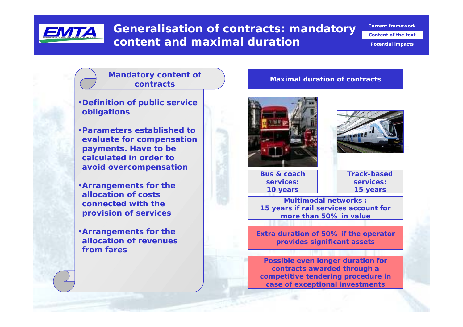

### **Generalisation of contracts: mandatory content and maximal duration**

**Current framework**

**Content of the text**

**Potential impacts**

#### **Mandatory content of contracts**

- •**Definition of public service obligations**
- •**Parameters established toevaluate for compensation payments. Have to be calculated in order toavoid overcompensation**
- •**Arrangements for the allocation of costsconnected with theprovision of services**
- •**Arrangements for the allocation of revenuesfrom fares**

#### **Maximal duration of contracts**





**Bus & coachservices:10 years**

**Track-basedservices:15 years**

**Multimodal networks :15 years if rail services account for more than 50% in value**

**Extra duration of 50% if the operator provides significant assets**

**Possible even longer duration for contracts awarded through a competitive tendering procedure in case of exceptional investments**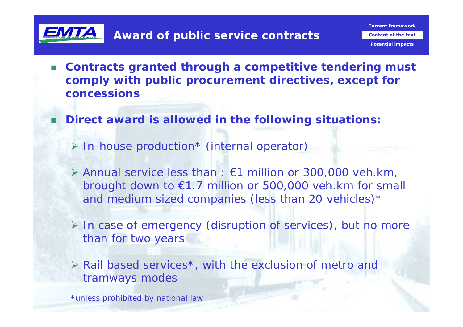

**Content of the text**

**Potential impacts**

- $\Box$  **Contracts granted through a competitive tendering must comply with public procurement directives, except for concessions**
- **Direct award is allowed in the following situations:**
	- ¾ In-house production\* (internal operator)
	- ¾ Annual service less than : €1 million or 300,000 veh.km, brought down to €1.7 million or 500,000 veh.km for small and medium sized companies (less than 20 vehicles)\*
	- ¾ In case of emergency (disruption of services), but no more than for two years
	- $\triangleright$  Rail based services<sup>\*</sup>, with the exclusion of metro and tramways modes

\*unless prohibited by national law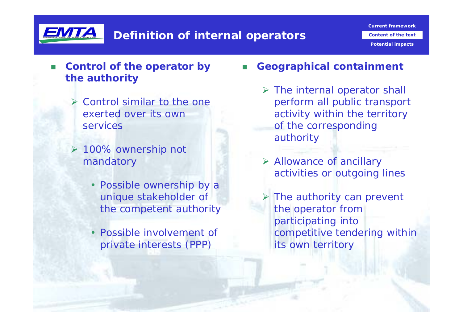

**Potential impacts**

#### n. **Control of the operator by the authority**

- $\triangleright$  Control similar to the one exerted over its ownservices
- ¾ 100% ownership not mandatory
	- Possible ownership by a unique stakeholder of the competent authority
	- Possible involvement of private interests (PPP)
- П **Geographical containment**
	- $\triangleright$  The internal operator shall perform all public transport activity within the territory of the corresponding authority
	- ¾ Allowance of ancillary activities or outgoing lines
	- $\triangleright$  The authority can prevent the operator from participating into competitive tendering within its own territory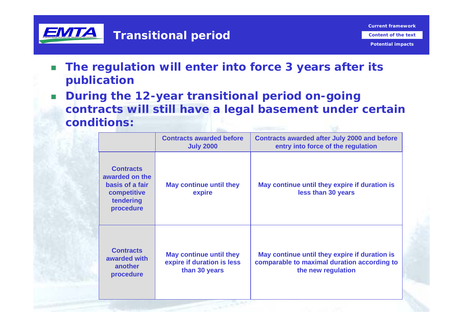

**Potential impacts**

- $\Box$  **The regulation will enter into force 3 years after its publication**
- $\mathcal{L}_{\mathrm{eff}}$  **During the 12-year transitional period on-going contracts will still have a legal basement under certain conditions:**

|                                                                                                | <b>Contracts awarded before</b><br><b>July 2000</b>                           | <b>Contracts awarded after July 2000 and before</b><br>entry into force of the regulation                          |
|------------------------------------------------------------------------------------------------|-------------------------------------------------------------------------------|--------------------------------------------------------------------------------------------------------------------|
| <b>Contracts</b><br>awarded on the<br>basis of a fair<br>competitive<br>tendering<br>procedure | May continue until they<br>expire                                             | May continue until they expire if duration is<br>less than 30 years                                                |
| <b>Contracts</b><br>awarded with<br>another<br>procedure                                       | <b>May continue until they</b><br>expire if duration is less<br>than 30 years | May continue until they expire if duration is<br>comparable to maximal duration according to<br>the new regulation |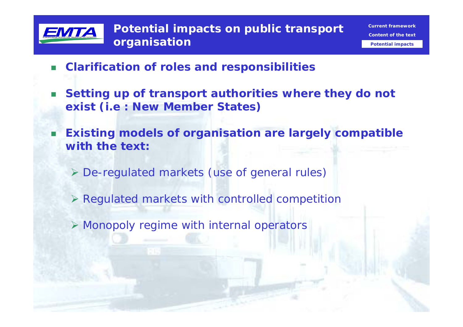

- $\Box$ **Clarification of roles and responsibilities**
- $\Box$  **Setting up of transport authorities where they do not exist (i.e : New Member States)**
- п **Existing models of organisation are largely compatible with the text:**
	- ¾ De-regulated markets (use of general rules)
	- $\triangleright$  Regulated markets with controlled competition
	- ¾ Monopoly regime with internal operators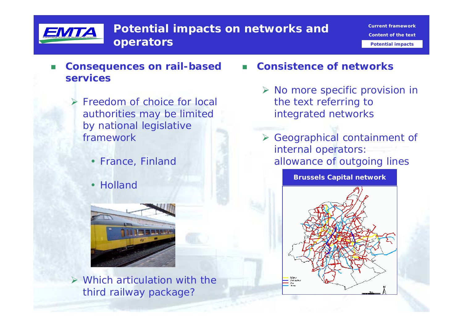

- П **Consequences on rail-based services**
	- ¾ Freedom of choice for local authorities may be limited by national legislative framework
		- France, Finland
		- Holland



 $\triangleright$  Which articulation with the third railway package?

- П **Consistence of networks**
	- $\triangleright$  No more specific provision in the text referring to integrated networks
	- ¾ Geographical containment of internal operators: allowance of outgoing lines

**Brussels Capital network**

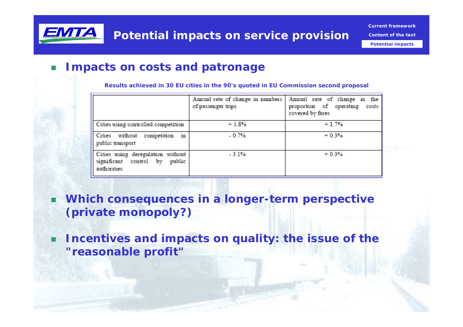

**Potential impacts**

#### $\Box$ **Impacts on costs and patronage**

**Results achieved in 30 EU cities in the 90's quoted in EU Commission second proposal**

|                                                                                      | Annual rate of change in numbers<br>of passenger trips | Annual rate of change in the<br>proportion of operating<br>costs<br>covered by fares |
|--------------------------------------------------------------------------------------|--------------------------------------------------------|--------------------------------------------------------------------------------------|
| Cities using controlled competition                                                  | $+1.8%$                                                | $+1.7%$                                                                              |
| in<br>without<br>Cities<br>competition<br>public transport                           | $-0.7%$                                                | $+0.3%$                                                                              |
| Cities using deregulation without<br>significant control by<br>public<br>authorities | $-3.1%$                                                | $+0.3%$                                                                              |

- п **Which consequences in a longer-term perspective (private monopoly?)**
- **Incentives and impacts on quality: the issue of the "reasonable profit"**